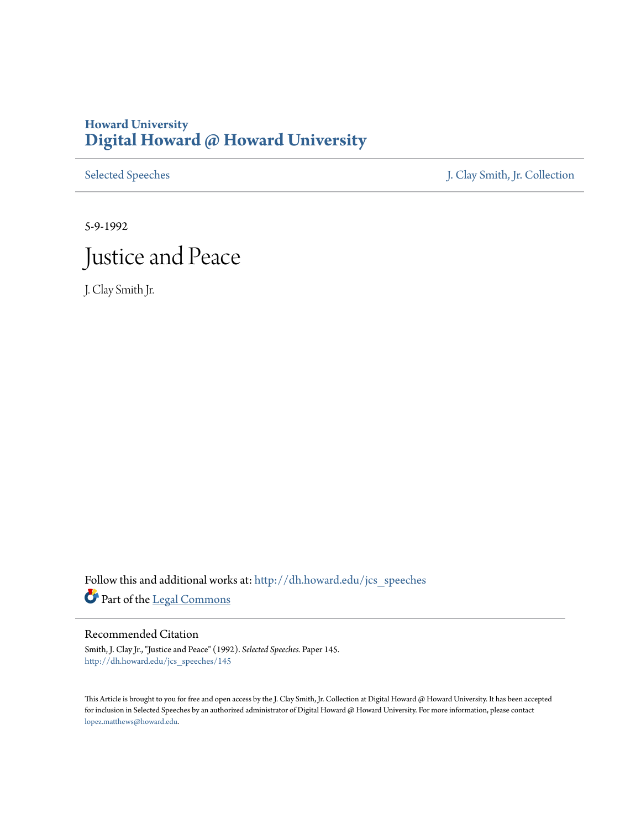## **Howard University [Digital Howard @ Howard University](http://dh.howard.edu?utm_source=dh.howard.edu%2Fjcs_speeches%2F145&utm_medium=PDF&utm_campaign=PDFCoverPages)**

[Selected Speeches](http://dh.howard.edu/jcs_speeches?utm_source=dh.howard.edu%2Fjcs_speeches%2F145&utm_medium=PDF&utm_campaign=PDFCoverPages) [J. Clay Smith, Jr. Collection](http://dh.howard.edu/jcsmith?utm_source=dh.howard.edu%2Fjcs_speeches%2F145&utm_medium=PDF&utm_campaign=PDFCoverPages)

5-9-1992

## Justice and Peace

J. Clay Smith Jr.

Follow this and additional works at: [http://dh.howard.edu/jcs\\_speeches](http://dh.howard.edu/jcs_speeches?utm_source=dh.howard.edu%2Fjcs_speeches%2F145&utm_medium=PDF&utm_campaign=PDFCoverPages) Part of the [Legal Commons](http://network.bepress.com/hgg/discipline/502?utm_source=dh.howard.edu%2Fjcs_speeches%2F145&utm_medium=PDF&utm_campaign=PDFCoverPages)

## Recommended Citation

Smith, J. Clay Jr., "Justice and Peace" (1992). *Selected Speeches.* Paper 145. [http://dh.howard.edu/jcs\\_speeches/145](http://dh.howard.edu/jcs_speeches/145?utm_source=dh.howard.edu%2Fjcs_speeches%2F145&utm_medium=PDF&utm_campaign=PDFCoverPages)

This Article is brought to you for free and open access by the J. Clay Smith, Jr. Collection at Digital Howard @ Howard University. It has been accepted for inclusion in Selected Speeches by an authorized administrator of Digital Howard @ Howard University. For more information, please contact [lopez.matthews@howard.edu.](mailto:lopez.matthews@howard.edu)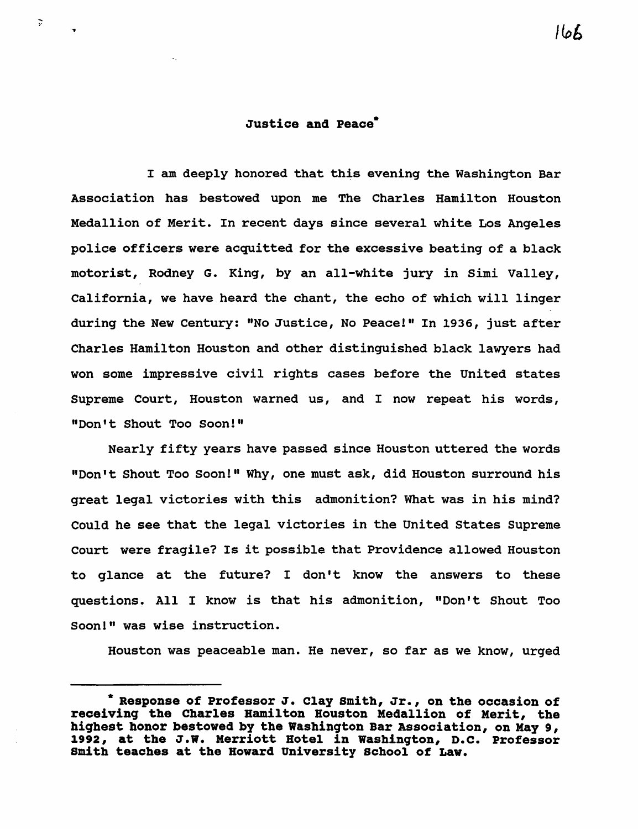## Justice and Peace<sup>\*</sup>

 $\overline{r}$ 

I am deeply honored that this evening the Washington Bar Association has bestowed upon me The Charles Hamilton Houston Medallion of Merit. In recent days since several white Los Angeles police officers were acquitted for the excessive beating of a black motorist, Rodney G. King, by an all-white jury in simi Valley, California, we have heard the chant, the echo of which will linger during the New century: "No Justice, No Peace!" In 1936, just after Charles Hamilton Houston and other distinguished black lawyers had won some impressive civil rights cases before the united states Supreme Court, Houston warned us, and I now repeat his words, "Don't Shout Too Soon!"

Nearly fifty years have passed since Houston uttered the words "Don't Shout Too Soon!" Why, one must ask, did Houston surround his great legal victories with this admonition? What was in his mind? Could he see that the legal victories in the United states Supreme Court were fragile? Is it possible that Providence allowed Houston to glance at the future? I don't know the answers to these questions. All I know is that his admonition, "Don't Shout Too Soon!" was wise instruction.

Houston was peaceable man. He never, so far as we know, urged

<sup>•</sup> Response of Professor J. clay smith, Jr., on the occasion of receiving the Charles Hamilton Houston Medallion of Herit, the hiqhest honor bestowed by the Washington Bar Association, on May 9, 1992, at the J.W. Merriott Hotel in Washington, D.C. Professor smith teaches at the Howard University School of Law.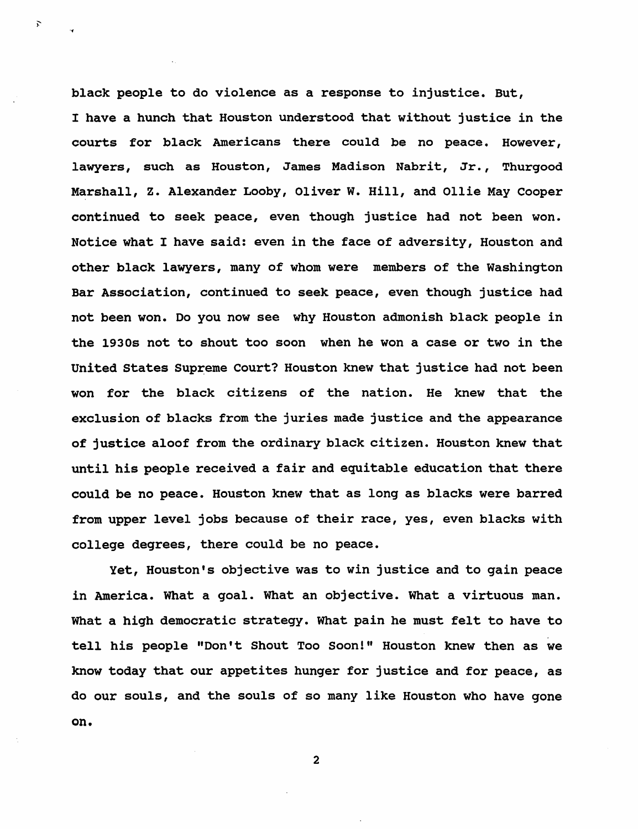black people to do violence as a response to injustice. But, I have a hunch that Houston understood that without justice in the courts for black Americans there could be no peace. However, lawyers, such as Houston, James Madison Nabrit, Jr., Thurgood Marshall, Z. Alexander Looby, Oliver W. Hill, and Ollie May Cooper continued to seek peace, even though justice had not been won. Notice what I have said: even in the face of adversity, Houston and other black lawyers, many of whom were members of the Washington Bar Association, continued to seek peace, even though justice had not been won. Do you now see why Houston admonish black people in the 1930s not to shout too soon when he won a case or two in the United States Supreme Court? Houston knew that justice had not been won for the black citizens of the nation. He knew that the exclusion of blacks from the juries made justice and the appearance of justice aloof from the ordinary black citizen. Houston knew that until his people received a fair and equitable education that there could be no peace. Houston knew that as long as blacks were barred from upper level jobs because of their race, yes, even blacks with college degrees, there could be no peace.

Yet, Houston's objective was to win justice and to gain peace in America. What a goal. What an objective. What a virtuous man. What a high democratic strategy. What pain he must felt to have to tell his people "Don't Shout Too Soon!" Houston knew then as we know today that our appetites hunger for justice and for peace, as do our souls, and the souls of so many like Houston who have gone on.

2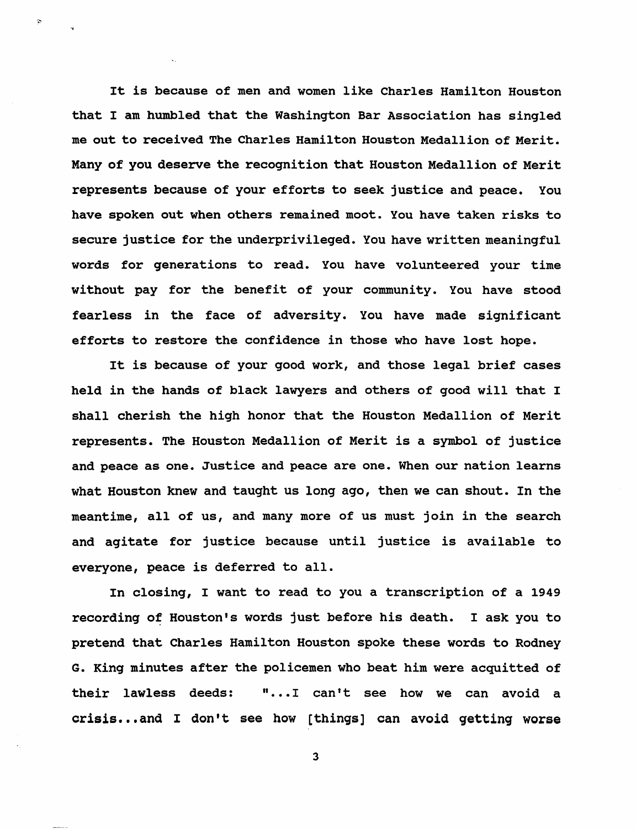It is because of men and women like Charles Hamilton Houston that I am humbled that the Washington Bar Association has singled me out to received The Charles Hamilton Houston Medallion of Merit. Many of you deserve the recognition that Houston Medallion of Merit represents because of your efforts to seek justice and peace. You have spoken out when others remained moot. You have taken risks to secure justice for the underprivileged. You have written meaningful words for generations to read. You have volunteered your time without pay for the benefit of your community. You have stood fearless in the face of adversity. You have made significant efforts to restore the confidence in those who have lost hope.

It is because of your good work, and those legal brief cases held in the hands of black lawyers and others of good will that I shall cherish the high honor that the Houston Medallion of Merit represents. The Houston Medallion of Merit is a symbol of justice and peace as one. Justice and peace are one. When our nation learns what Houston knew and taught us long ago, then we can shout. In the meantime, all of us, and many more of us must join in the search and agitate for justice because until justice is available to everyone, peace is deferred to all.

In closing, I want to read to you a transcription of a 1949 recording of Houston's words just before his death. I ask you to pretend that Charles Hamilton Houston spoke these words to Rodney G. King minutes after the policemen who beat him were acquitted of their lawless deeds: "...I can't see how we can avoid a crisis...and I don't see how [things] can avoid getting worse

3